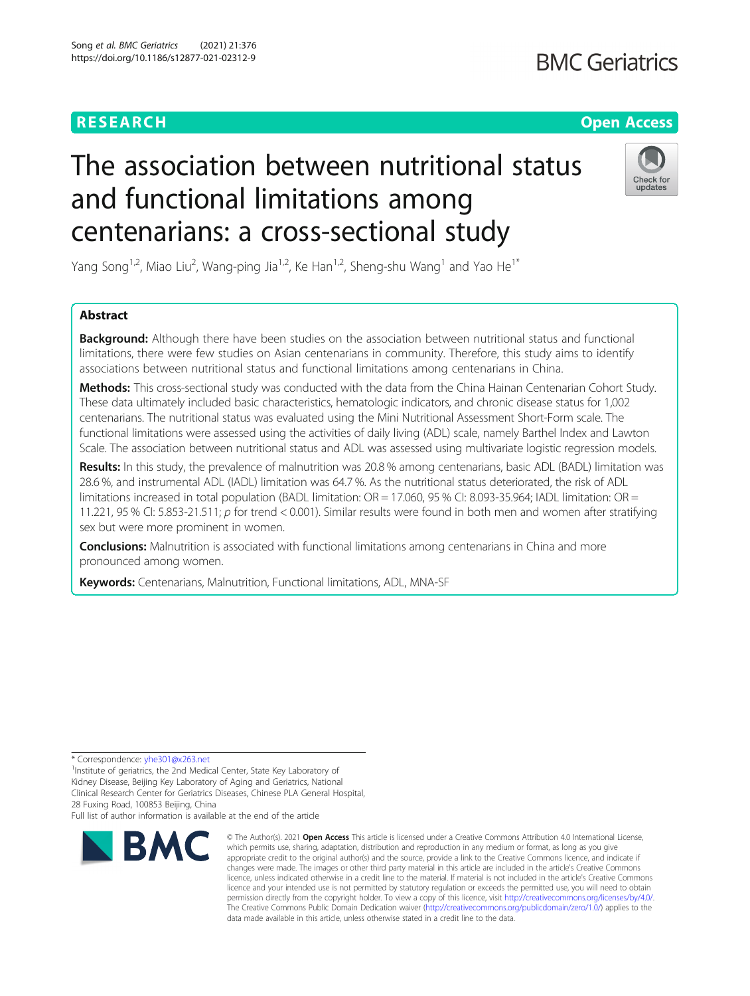# RESEARCH **RESEARCH CONSUMING THE CONSUMING THE CONSUMING TENS**

# The association between nutritional status and functional limitations among centenarians: a cross-sectional study



Yang Song<sup>1,2</sup>, Miao Liu<sup>2</sup>, Wang-ping Jia<sup>1,2</sup>, Ke Han<sup>1,2</sup>, Sheng-shu Wang<sup>1</sup> and Yao He<sup>1\*</sup>

# Abstract

Background: Although there have been studies on the association between nutritional status and functional limitations, there were few studies on Asian centenarians in community. Therefore, this study aims to identify associations between nutritional status and functional limitations among centenarians in China.

Methods: This cross-sectional study was conducted with the data from the China Hainan Centenarian Cohort Study. These data ultimately included basic characteristics, hematologic indicators, and chronic disease status for 1,002 centenarians. The nutritional status was evaluated using the Mini Nutritional Assessment Short-Form scale. The functional limitations were assessed using the activities of daily living (ADL) scale, namely Barthel Index and Lawton Scale. The association between nutritional status and ADL was assessed using multivariate logistic regression models.

Results: In this study, the prevalence of malnutrition was 20.8 % among centenarians, basic ADL (BADL) limitation was 28.6 %, and instrumental ADL (IADL) limitation was 64.7 %. As the nutritional status deteriorated, the risk of ADL limitations increased in total population (BADL limitation: OR = 17.060, 95 % CI: 8.093-35.964; IADL limitation: OR = 11.221, 95 % CI: 5.853-21.511; p for trend < 0.001). Similar results were found in both men and women after stratifying sex but were more prominent in women.

**Conclusions:** Malnutrition is associated with functional limitations among centenarians in China and more pronounced among women.

Keywords: Centenarians, Malnutrition, Functional limitations, ADL, MNA-SF

\* Correspondence: [yhe301@x263.net](mailto:yhe301@x263.net) <sup>1</sup>

<sup>1</sup> Institute of geriatrics, the 2nd Medical Center, State Key Laboratory of Kidney Disease, Beijing Key Laboratory of Aging and Geriatrics, National Clinical Research Center for Geriatrics Diseases, Chinese PLA General Hospital, 28 Fuxing Road, 100853 Beijing, China

Full list of author information is available at the end of the article



<sup>©</sup> The Author(s), 2021 **Open Access** This article is licensed under a Creative Commons Attribution 4.0 International License, which permits use, sharing, adaptation, distribution and reproduction in any medium or format, as long as you give appropriate credit to the original author(s) and the source, provide a link to the Creative Commons licence, and indicate if changes were made. The images or other third party material in this article are included in the article's Creative Commons licence, unless indicated otherwise in a credit line to the material. If material is not included in the article's Creative Commons licence and your intended use is not permitted by statutory regulation or exceeds the permitted use, you will need to obtain permission directly from the copyright holder. To view a copy of this licence, visit [http://creativecommons.org/licenses/by/4.0/.](http://creativecommons.org/licenses/by/4.0/) The Creative Commons Public Domain Dedication waiver [\(http://creativecommons.org/publicdomain/zero/1.0/](http://creativecommons.org/publicdomain/zero/1.0/)) applies to the data made available in this article, unless otherwise stated in a credit line to the data.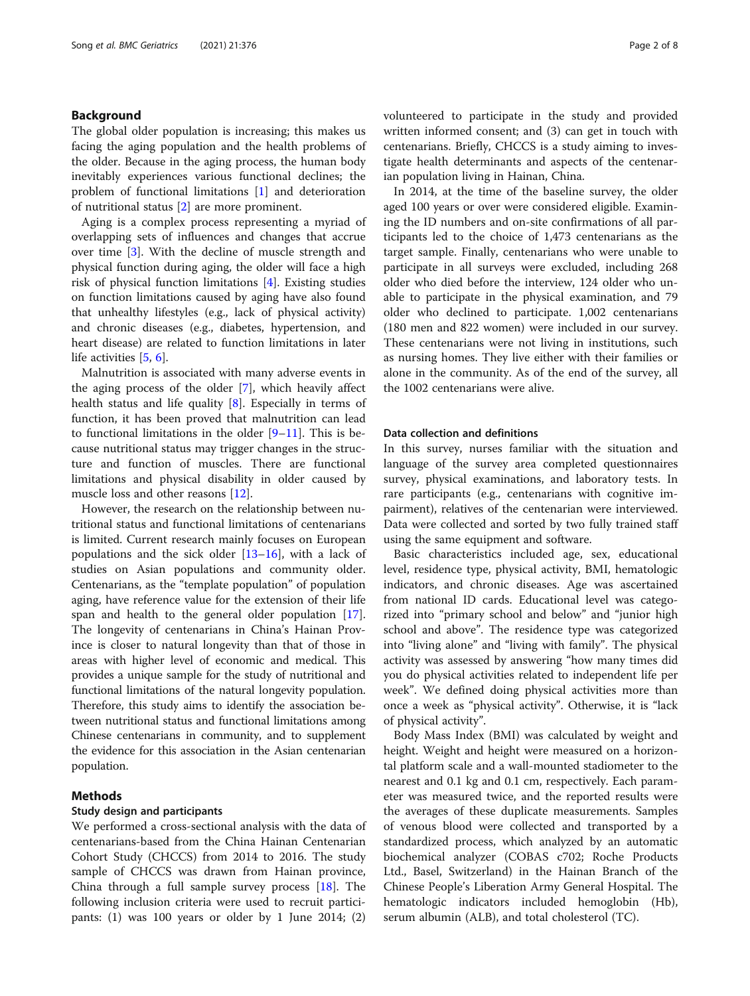## Background

The global older population is increasing; this makes us facing the aging population and the health problems of the older. Because in the aging process, the human body inevitably experiences various functional declines; the problem of functional limitations [\[1](#page-6-0)] and deterioration of nutritional status [[2\]](#page-6-0) are more prominent.

Aging is a complex process representing a myriad of overlapping sets of influences and changes that accrue over time [[3\]](#page-6-0). With the decline of muscle strength and physical function during aging, the older will face a high risk of physical function limitations [\[4\]](#page-6-0). Existing studies on function limitations caused by aging have also found that unhealthy lifestyles (e.g., lack of physical activity) and chronic diseases (e.g., diabetes, hypertension, and heart disease) are related to function limitations in later life activities [[5](#page-6-0), [6\]](#page-6-0).

Malnutrition is associated with many adverse events in the aging process of the older [[7\]](#page-6-0), which heavily affect health status and life quality [[8\]](#page-6-0). Especially in terms of function, it has been proved that malnutrition can lead to functional limitations in the older  $[9-11]$  $[9-11]$  $[9-11]$ . This is because nutritional status may trigger changes in the structure and function of muscles. There are functional limitations and physical disability in older caused by muscle loss and other reasons [[12\]](#page-6-0).

However, the research on the relationship between nutritional status and functional limitations of centenarians is limited. Current research mainly focuses on European populations and the sick older  $[13-16]$  $[13-16]$  $[13-16]$  $[13-16]$ , with a lack of studies on Asian populations and community older. Centenarians, as the "template population" of population aging, have reference value for the extension of their life span and health to the general older population [\[17](#page-6-0)]. The longevity of centenarians in China's Hainan Province is closer to natural longevity than that of those in areas with higher level of economic and medical. This provides a unique sample for the study of nutritional and functional limitations of the natural longevity population. Therefore, this study aims to identify the association between nutritional status and functional limitations among Chinese centenarians in community, and to supplement the evidence for this association in the Asian centenarian population.

# Methods

# Study design and participants

We performed a cross-sectional analysis with the data of centenarians-based from the China Hainan Centenarian Cohort Study (CHCCS) from 2014 to 2016. The study sample of CHCCS was drawn from Hainan province, China through a full sample survey process [\[18](#page-6-0)]. The following inclusion criteria were used to recruit participants: (1) was 100 years or older by 1 June 2014; (2)

volunteered to participate in the study and provided written informed consent; and (3) can get in touch with centenarians. Briefly, CHCCS is a study aiming to investigate health determinants and aspects of the centenarian population living in Hainan, China.

In 2014, at the time of the baseline survey, the older aged 100 years or over were considered eligible. Examining the ID numbers and on-site confirmations of all participants led to the choice of 1,473 centenarians as the target sample. Finally, centenarians who were unable to participate in all surveys were excluded, including 268 older who died before the interview, 124 older who unable to participate in the physical examination, and 79 older who declined to participate. 1,002 centenarians (180 men and 822 women) were included in our survey. These centenarians were not living in institutions, such as nursing homes. They live either with their families or alone in the community. As of the end of the survey, all the 1002 centenarians were alive.

#### Data collection and definitions

In this survey, nurses familiar with the situation and language of the survey area completed questionnaires survey, physical examinations, and laboratory tests. In rare participants (e.g., centenarians with cognitive impairment), relatives of the centenarian were interviewed. Data were collected and sorted by two fully trained staff using the same equipment and software.

Basic characteristics included age, sex, educational level, residence type, physical activity, BMI, hematologic indicators, and chronic diseases. Age was ascertained from national ID cards. Educational level was categorized into "primary school and below" and "junior high school and above". The residence type was categorized into "living alone" and "living with family". The physical activity was assessed by answering "how many times did you do physical activities related to independent life per week". We defined doing physical activities more than once a week as "physical activity". Otherwise, it is "lack of physical activity".

Body Mass Index (BMI) was calculated by weight and height. Weight and height were measured on a horizontal platform scale and a wall-mounted stadiometer to the nearest and 0.1 kg and 0.1 cm, respectively. Each parameter was measured twice, and the reported results were the averages of these duplicate measurements. Samples of venous blood were collected and transported by a standardized process, which analyzed by an automatic biochemical analyzer (COBAS c702; Roche Products Ltd., Basel, Switzerland) in the Hainan Branch of the Chinese People's Liberation Army General Hospital. The hematologic indicators included hemoglobin (Hb), serum albumin (ALB), and total cholesterol (TC).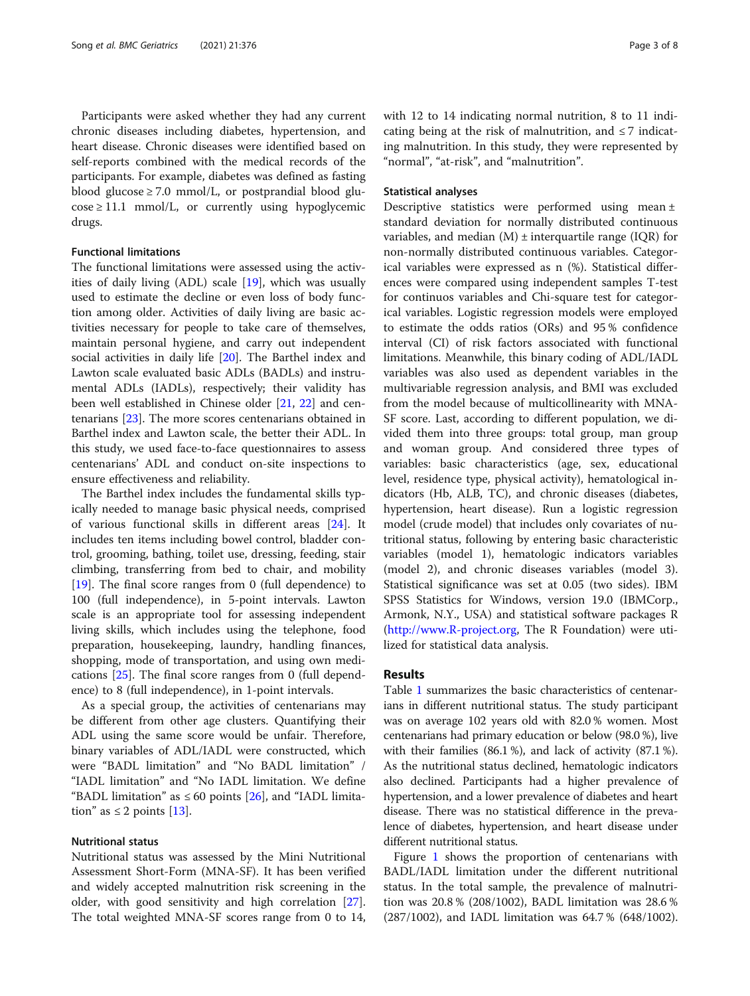Participants were asked whether they had any current chronic diseases including diabetes, hypertension, and heart disease. Chronic diseases were identified based on self-reports combined with the medical records of the participants. For example, diabetes was defined as fasting blood glucose  $\geq 7.0$  mmol/L, or postprandial blood glu- $\cos\epsilon \ge 11.1$  mmol/L, or currently using hypoglycemic drugs.

# Functional limitations

The functional limitations were assessed using the activities of daily living (ADL) scale [\[19](#page-6-0)], which was usually used to estimate the decline or even loss of body function among older. Activities of daily living are basic activities necessary for people to take care of themselves, maintain personal hygiene, and carry out independent social activities in daily life [[20\]](#page-6-0). The Barthel index and Lawton scale evaluated basic ADLs (BADLs) and instrumental ADLs (IADLs), respectively; their validity has been well established in Chinese older [\[21](#page-6-0), [22\]](#page-6-0) and centenarians [\[23\]](#page-6-0). The more scores centenarians obtained in Barthel index and Lawton scale, the better their ADL. In this study, we used face-to-face questionnaires to assess centenarians' ADL and conduct on-site inspections to ensure effectiveness and reliability.

The Barthel index includes the fundamental skills typically needed to manage basic physical needs, comprised of various functional skills in different areas [\[24\]](#page-6-0). It includes ten items including bowel control, bladder control, grooming, bathing, toilet use, dressing, feeding, stair climbing, transferring from bed to chair, and mobility [[19\]](#page-6-0). The final score ranges from 0 (full dependence) to 100 (full independence), in 5-point intervals. Lawton scale is an appropriate tool for assessing independent living skills, which includes using the telephone, food preparation, housekeeping, laundry, handling finances, shopping, mode of transportation, and using own medications [\[25\]](#page-6-0). The final score ranges from 0 (full dependence) to 8 (full independence), in 1-point intervals.

As a special group, the activities of centenarians may be different from other age clusters. Quantifying their ADL using the same score would be unfair. Therefore, binary variables of ADL/IADL were constructed, which were "BADL limitation" and "No BADL limitation" / "IADL limitation" and "No IADL limitation. We define "BADL limitation" as  $\leq 60$  points [[26\]](#page-6-0), and "IADL limitation" as  $\leq 2$  points [\[13](#page-6-0)].

#### Nutritional status

Nutritional status was assessed by the Mini Nutritional Assessment Short-Form (MNA-SF). It has been verified and widely accepted malnutrition risk screening in the older, with good sensitivity and high correlation [\[27](#page-6-0)]. The total weighted MNA-SF scores range from 0 to 14, with 12 to 14 indicating normal nutrition, 8 to 11 indicating being at the risk of malnutrition, and  $\leq 7$  indicating malnutrition. In this study, they were represented by "normal", "at-risk", and "malnutrition".

#### Statistical analyses

Descriptive statistics were performed using mean ± standard deviation for normally distributed continuous variables, and median  $(M)$  ± interquartile range (IQR) for non-normally distributed continuous variables. Categorical variables were expressed as n (%). Statistical differences were compared using independent samples T-test for continuos variables and Chi-square test for categorical variables. Logistic regression models were employed to estimate the odds ratios (ORs) and 95 % confidence interval (CI) of risk factors associated with functional limitations. Meanwhile, this binary coding of ADL/IADL variables was also used as dependent variables in the multivariable regression analysis, and BMI was excluded from the model because of multicollinearity with MNA-SF score. Last, according to different population, we divided them into three groups: total group, man group and woman group. And considered three types of variables: basic characteristics (age, sex, educational level, residence type, physical activity), hematological indicators (Hb, ALB, TC), and chronic diseases (diabetes, hypertension, heart disease). Run a logistic regression model (crude model) that includes only covariates of nutritional status, following by entering basic characteristic variables (model 1), hematologic indicators variables (model 2), and chronic diseases variables (model 3). Statistical significance was set at 0.05 (two sides). IBM SPSS Statistics for Windows, version 19.0 (IBMCorp., Armonk, N.Y., USA) and statistical software packages R (<http://www.R-project.org>, The R Foundation) were utilized for statistical data analysis.

### Results

Table [1](#page-3-0) summarizes the basic characteristics of centenarians in different nutritional status. The study participant was on average 102 years old with 82.0 % women. Most centenarians had primary education or below (98.0 %), live with their families (86.1 %), and lack of activity (87.1 %). As the nutritional status declined, hematologic indicators also declined. Participants had a higher prevalence of hypertension, and a lower prevalence of diabetes and heart disease. There was no statistical difference in the prevalence of diabetes, hypertension, and heart disease under different nutritional status.

Figure [1](#page-3-0) shows the proportion of centenarians with BADL/IADL limitation under the different nutritional status. In the total sample, the prevalence of malnutrition was 20.8 % (208/1002), BADL limitation was 28.6 % (287/1002), and IADL limitation was 64.7 % (648/1002).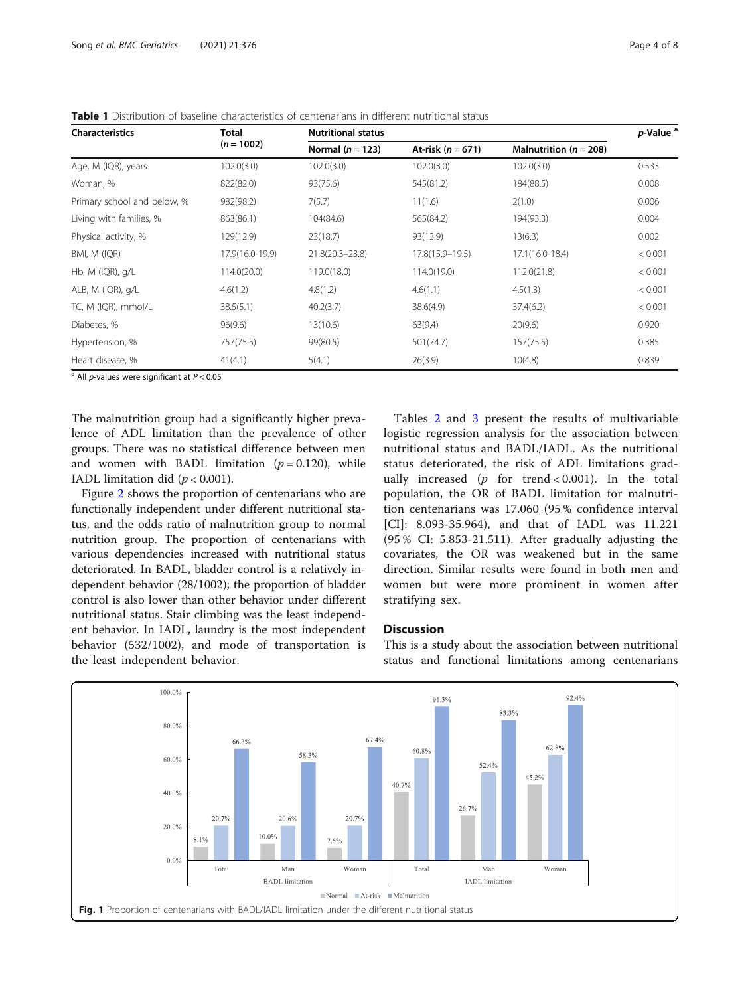| <b>Characteristics</b>      | Total<br>$(n = 1002)$ | <b>Nutritional status</b> |                     |                            | p-Value <sup>a</sup> |
|-----------------------------|-----------------------|---------------------------|---------------------|----------------------------|----------------------|
|                             |                       | Normal $(n = 123)$        | At-risk $(n = 671)$ | Malnutrition ( $n = 208$ ) |                      |
| Age, M (IQR), years         | 102.0(3.0)            | 102.0(3.0)                | 102.0(3.0)          | 102.0(3.0)                 | 0.533                |
| Woman, %                    | 822(82.0)             | 93(75.6)                  | 545(81.2)           | 184(88.5)                  | 0.008                |
| Primary school and below, % | 982(98.2)             | 7(5.7)                    | 11(1.6)             | 2(1.0)                     | 0.006                |
| Living with families, %     | 863(86.1)             | 104(84.6)                 | 565(84.2)           | 194(93.3)                  | 0.004                |
| Physical activity, %        | 129(12.9)             | 23(18.7)                  | 93(13.9)            | 13(6.3)                    | 0.002                |
| BMI, M (IQR)                | 17.9(16.0-19.9)       | $21.8(20.3 - 23.8)$       | 17.8(15.9-19.5)     | $17.1(16.0-18.4)$          | < 0.001              |
| Hb, $M$ (IQR), $q/L$        | 114.0(20.0)           | 119.0(18.0)               | 114.0(19.0)         | 112.0(21.8)                | < 0.001              |
| ALB, M (IQR), g/L           | 4.6(1.2)              | 4.8(1.2)                  | 4.6(1.1)            | 4.5(1.3)                   | < 0.001              |
| TC, M (IQR), mmol/L         | 38.5(5.1)             | 40.2(3.7)                 | 38.6(4.9)           | 37.4(6.2)                  | < 0.001              |
| Diabetes, %                 | 96(9.6)               | 13(10.6)                  | 63(9.4)             | 20(9.6)                    | 0.920                |
| Hypertension, %             | 757(75.5)             | 99(80.5)                  | 501(74.7)           | 157(75.5)                  | 0.385                |
| Heart disease, %            | 41(4.1)               | 5(4.1)                    | 26(3.9)             | 10(4.8)                    | 0.839                |

<span id="page-3-0"></span>Table 1 Distribution of baseline characteristics of centenarians in different nutritional status

 $\overline{a}$  All *p*-values were significant at  $P < 0.05$ 

The malnutrition group had a significantly higher prevalence of ADL limitation than the prevalence of other groups. There was no statistical difference between men and women with BADL limitation  $(p = 0.120)$ , while IADL limitation did ( $p < 0.001$ ).

Figure [2](#page-4-0) shows the proportion of centenarians who are functionally independent under different nutritional status, and the odds ratio of malnutrition group to normal nutrition group. The proportion of centenarians with various dependencies increased with nutritional status deteriorated. In BADL, bladder control is a relatively independent behavior (28/1002); the proportion of bladder control is also lower than other behavior under different nutritional status. Stair climbing was the least independent behavior. In IADL, laundry is the most independent behavior (532/1002), and mode of transportation is the least independent behavior.

Tables [2](#page-4-0) and [3](#page-5-0) present the results of multivariable logistic regression analysis for the association between nutritional status and BADL/IADL. As the nutritional status deteriorated, the risk of ADL limitations gradually increased ( $p$  for trend < 0.001). In the total population, the OR of BADL limitation for malnutrition centenarians was 17.060 (95 % confidence interval [CI]: 8.093-35.964), and that of IADL was 11.221 (95 % CI: 5.853-21.511). After gradually adjusting the covariates, the OR was weakened but in the same direction. Similar results were found in both men and women but were more prominent in women after stratifying sex.

#### **Discussion**

This is a study about the association between nutritional status and functional limitations among centenarians

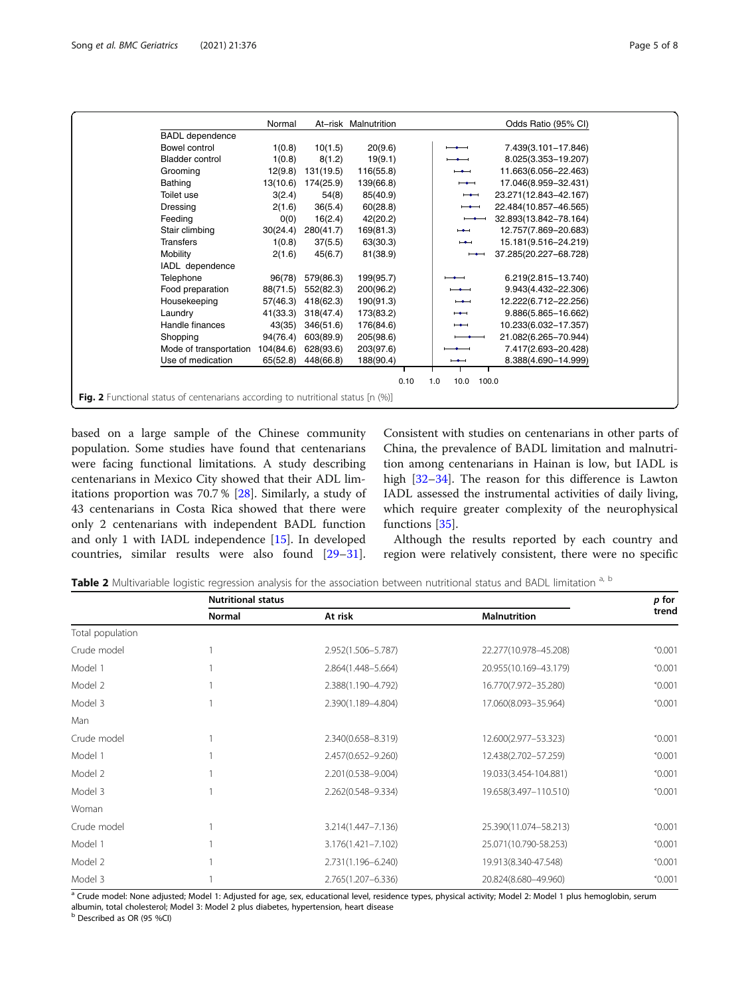<span id="page-4-0"></span>

|                                                                                         | Normal    |           | At-risk Malnutrition | Odds Ratio (95% CI)                               |
|-----------------------------------------------------------------------------------------|-----------|-----------|----------------------|---------------------------------------------------|
| <b>BADL</b> dependence                                                                  |           |           |                      |                                                   |
| Bowel control                                                                           | 1(0.8)    | 10(1.5)   | 20(9.6)              | 7.439(3.101-17.846)                               |
| <b>Bladder control</b>                                                                  | 1(0.8)    | 8(1.2)    | 19(9.1)              | 8.025(3.353-19.207)                               |
| Grooming                                                                                | 12(9.8)   | 131(19.5) | 116(55.8)            | 11.663(6.056-22.463)                              |
| <b>Bathing</b>                                                                          | 13(10.6)  | 174(25.9) | 139(66.8)            | 17.046(8.959-32.431)<br>$\overline{\phantom{0}}$  |
| Toilet use                                                                              | 3(2.4)    | 54(8)     | 85(40.9)             | 23.271(12.843-42.167)<br>$\overline{\phantom{0}}$ |
| Dressing                                                                                | 2(1.6)    | 36(5.4)   | 60(28.8)             | 22.484(10.857-46.565)                             |
| Feeding                                                                                 | 0(0)      | 16(2.4)   | 42(20.2)             | 32.893(13.842-78.164)                             |
| Stair climbing                                                                          | 30(24.4)  | 280(41.7) | 169(81.3)            | 12.757(7.869-20.683)<br>$\overline{\phantom{0}}$  |
| <b>Transfers</b>                                                                        | 1(0.8)    | 37(5.5)   | 63(30.3)             | 15.181(9.516-24.219)<br>$\overline{\phantom{0}}$  |
| Mobility                                                                                | 2(1.6)    | 45(6.7)   | 81(38.9)             | 37.285(20.227-68.728)                             |
| IADL dependence                                                                         |           |           |                      |                                                   |
| Telephone                                                                               | 96(78)    | 579(86.3) | 199(95.7)            | 6.219(2.815-13.740)                               |
| Food preparation                                                                        | 88(71.5)  | 552(82.3) | 200(96.2)            | 9.943(4.432-22.306)                               |
| Housekeeping                                                                            | 57(46.3)  | 418(62.3) | 190(91.3)            | 12.222(6.712-22.256)<br>$-$                       |
| Laundry                                                                                 | 41(33.3)  | 318(47.4) | 173(83.2)            | 9.886(5.865-16.662)<br>$\overline{\phantom{0}}$   |
| Handle finances                                                                         | 43(35)    | 346(51.6) | 176(84.6)            | 10.233(6.032-17.357)<br>$\overline{\phantom{0}}$  |
| Shopping                                                                                | 94(76.4)  | 603(89.9) | 205(98.6)            | 21.082(6.265-70.944)                              |
| Mode of transportation                                                                  | 104(84.6) | 628(93.6) | 203(97.6)            | 7.417(2.693-20.428)                               |
| Use of medication                                                                       | 65(52.8)  | 448(66.8) | 188(90.4)            | 8.388(4.690-14.999)<br>$\overline{\phantom{a}}$   |
| 0.10<br>1.0<br>10.0<br>100.0                                                            |           |           |                      |                                                   |
| <b>Fig. 2</b> Functional status of centenarians according to nutritional status [n (%)] |           |           |                      |                                                   |

based on a large sample of the Chinese community population. Some studies have found that centenarians were facing functional limitations. A study describing centenarians in Mexico City showed that their ADL limitations proportion was 70.7 % [\[28\]](#page-6-0). Similarly, a study of 43 centenarians in Costa Rica showed that there were only 2 centenarians with independent BADL function and only 1 with IADL independence [[15\]](#page-6-0). In developed countries, similar results were also found [[29](#page-6-0)–[31](#page-7-0)].

Consistent with studies on centenarians in other parts of China, the prevalence of BADL limitation and malnutrition among centenarians in Hainan is low, but IADL is high [\[32](#page-7-0)–[34\]](#page-7-0). The reason for this difference is Lawton IADL assessed the instrumental activities of daily living, which require greater complexity of the neurophysical functions [[35\]](#page-7-0).

Although the results reported by each country and region were relatively consistent, there were no specific

Table 2 Multivariable logistic regression analysis for the association between nutritional status and BADL limitation a, b

|                  | <b>Nutritional status</b> |                    |                       | p for           |
|------------------|---------------------------|--------------------|-----------------------|-----------------|
|                  | <b>Normal</b>             | At risk            | <b>Malnutrition</b>   | trend           |
| Total population |                           |                    |                       |                 |
| Crude model      |                           | 2.952(1.506-5.787) | 22.277(10.978-45.208) | $^{\circ}0.001$ |
| Model 1          |                           | 2.864(1.448-5.664) | 20.955(10.169-43.179) | $^{\circ}0.001$ |
| Model 2          |                           | 2.388(1.190-4.792) | 16.770(7.972-35.280)  | $^{\circ}0.001$ |
| Model 3          |                           | 2.390(1.189-4.804) | 17.060(8.093-35.964)  | $^{\circ}0.001$ |
| Man              |                           |                    |                       |                 |
| Crude model      |                           | 2.340(0.658-8.319) | 12.600(2.977-53.323)  | $^{\circ}0.001$ |
| Model 1          |                           | 2.457(0.652-9.260) | 12.438(2.702-57.259)  | $^{\circ}0.001$ |
| Model 2          |                           | 2.201(0.538-9.004) | 19.033(3.454-104.881) | $^{\circ}0.001$ |
| Model 3          |                           | 2.262(0.548-9.334) | 19.658(3.497-110.510) | $^{\circ}0.001$ |
| Woman            |                           |                    |                       |                 |
| Crude model      |                           | 3.214(1.447-7.136) | 25.390(11.074-58.213) | $^{\circ}0.001$ |
| Model 1          |                           | 3.176(1.421-7.102) | 25.071(10.790-58.253) | $^{\circ}0.001$ |
| Model 2          |                           | 2.731(1.196-6.240) | 19.913(8.340-47.548)  | $^{\circ}0.001$ |
| Model 3          |                           | 2.765(1.207-6.336) | 20.824(8.680-49.960)  | $^{\circ}0.001$ |

<sup>a</sup> Crude model: None adjusted; Model 1: Adjusted for age, sex, educational level, residence types, physical activity; Model 2: Model 1 plus hemoglobin, serum albumin, total cholesterol; Model 3: Model 2 plus diabetes, hypertension, heart disease

<sup>b</sup> Described as OR (95 %CI)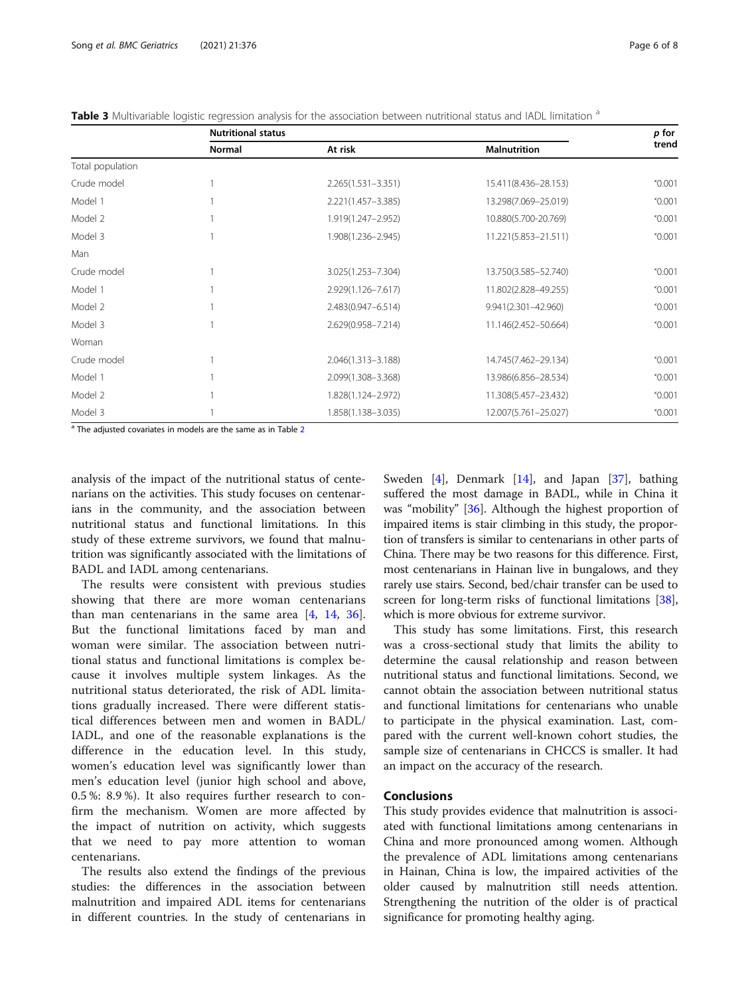<span id="page-5-0"></span>

|                  | <b>Nutritional status</b> |                        |                      | p for           |
|------------------|---------------------------|------------------------|----------------------|-----------------|
|                  | <b>Normal</b>             | At risk                | <b>Malnutrition</b>  | trend           |
| Total population |                           |                        |                      |                 |
| Crude model      |                           | $2.265(1.531 - 3.351)$ | 15.411(8.436-28.153) | $^{\circ}0.001$ |
| Model 1          |                           | 2.221(1.457-3.385)     | 13.298(7.069-25.019) | $^{\circ}0.001$ |
| Model 2          |                           | 1.919(1.247-2.952)     | 10.880(5.700-20.769) | $^{\circ}0.001$ |
| Model 3          |                           | 1.908(1.236-2.945)     | 11.221(5.853-21.511) | $^{\circ}0.001$ |
| Man              |                           |                        |                      |                 |
| Crude model      |                           | 3.025(1.253-7.304)     | 13.750(3.585-52.740) | $^{\circ}0.001$ |
| Model 1          |                           | 2.929(1.126-7.617)     | 11.802(2.828-49.255) | $^{\circ}0.001$ |
| Model 2          |                           | 2.483(0.947-6.514)     | 9.941(2.301-42.960)  | $^{\circ}0.001$ |
| Model 3          |                           | 2.629(0.958-7.214)     | 11.146(2.452-50.664) | $^{\circ}0.001$ |
| Woman            |                           |                        |                      |                 |
| Crude model      |                           | 2.046(1.313-3.188)     | 14.745(7.462-29.134) | $^{\circ}0.001$ |
| Model 1          |                           | 2.099(1.308-3.368)     | 13.986(6.856-28.534) | $^{\circ}0.001$ |
| Model 2          |                           | 1.828(1.124-2.972)     | 11.308(5.457-23.432) | $^{\circ}0.001$ |
| Model 3          |                           | 1.858(1.138-3.035)     | 12.007(5.761-25.027) | $^{\circ}0.001$ |

<sup>a</sup> The adjusted covariates in models are the same as in Table [2](#page-4-0)

analysis of the impact of the nutritional status of centenarians on the activities. This study focuses on centenarians in the community, and the association between nutritional status and functional limitations. In this study of these extreme survivors, we found that malnutrition was significantly associated with the limitations of BADL and IADL among centenarians.

The results were consistent with previous studies showing that there are more woman centenarians than man centenarians in the same area [\[4](#page-6-0), [14,](#page-6-0) [36](#page-7-0)]. But the functional limitations faced by man and woman were similar. The association between nutritional status and functional limitations is complex because it involves multiple system linkages. As the nutritional status deteriorated, the risk of ADL limitations gradually increased. There were different statistical differences between men and women in BADL/ IADL, and one of the reasonable explanations is the difference in the education level. In this study, women's education level was significantly lower than men's education level (junior high school and above, 0.5 %: 8.9 %). It also requires further research to confirm the mechanism. Women are more affected by the impact of nutrition on activity, which suggests that we need to pay more attention to woman centenarians.

The results also extend the findings of the previous studies: the differences in the association between malnutrition and impaired ADL items for centenarians in different countries. In the study of centenarians in Sweden [[4\]](#page-6-0), Denmark [[14](#page-6-0)], and Japan [\[37\]](#page-7-0), bathing suffered the most damage in BADL, while in China it was "mobility" [\[36](#page-7-0)]. Although the highest proportion of impaired items is stair climbing in this study, the proportion of transfers is similar to centenarians in other parts of China. There may be two reasons for this difference. First, most centenarians in Hainan live in bungalows, and they rarely use stairs. Second, bed/chair transfer can be used to screen for long-term risks of functional limitations [[38](#page-7-0)], which is more obvious for extreme survivor.

This study has some limitations. First, this research was a cross-sectional study that limits the ability to determine the causal relationship and reason between nutritional status and functional limitations. Second, we cannot obtain the association between nutritional status and functional limitations for centenarians who unable to participate in the physical examination. Last, compared with the current well-known cohort studies, the sample size of centenarians in CHCCS is smaller. It had an impact on the accuracy of the research.

# Conclusions

This study provides evidence that malnutrition is associated with functional limitations among centenarians in China and more pronounced among women. Although the prevalence of ADL limitations among centenarians in Hainan, China is low, the impaired activities of the older caused by malnutrition still needs attention. Strengthening the nutrition of the older is of practical significance for promoting healthy aging.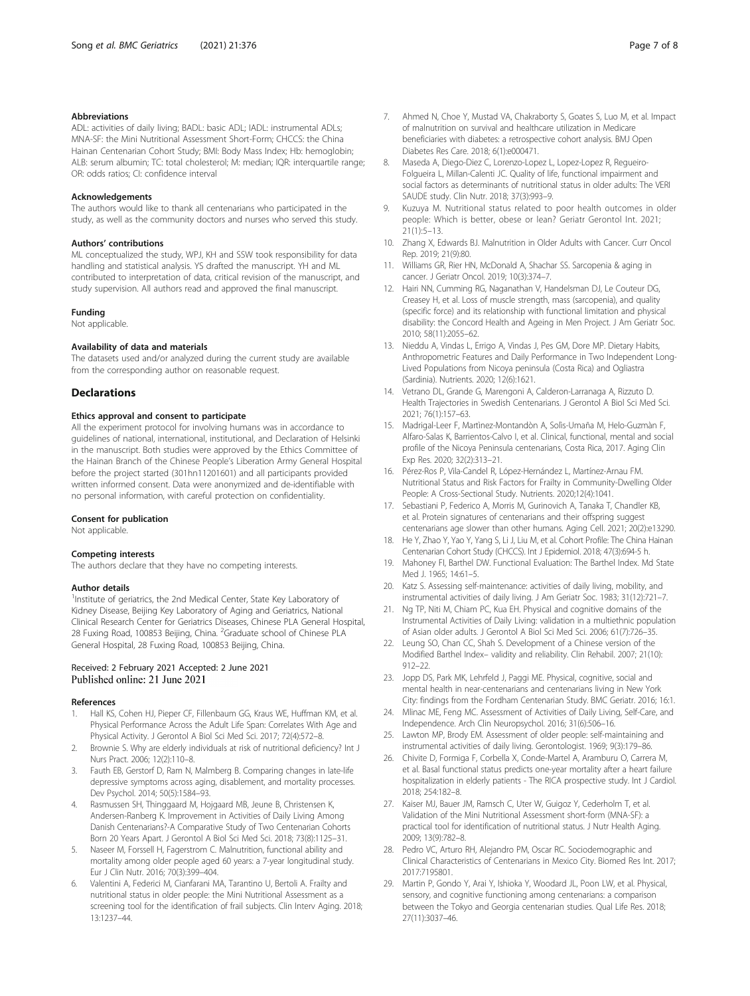#### <span id="page-6-0"></span>Abbreviations

ADL: activities of daily living; BADL: basic ADL; IADL: instrumental ADLs; MNA-SF: the Mini Nutritional Assessment Short-Form; CHCCS: the China Hainan Centenarian Cohort Study; BMI: Body Mass Index; Hb: hemoglobin; ALB: serum albumin; TC: total cholesterol; M: median; IQR: interquartile range; OR: odds ratios; CI: confidence interval

#### Acknowledgements

The authors would like to thank all centenarians who participated in the study, as well as the community doctors and nurses who served this study.

#### Authors' contributions

ML conceptualized the study, WPJ, KH and SSW took responsibility for data handling and statistical analysis. YS drafted the manuscript. YH and ML contributed to interpretation of data, critical revision of the manuscript, and study supervision. All authors read and approved the final manuscript.

#### Funding

Not applicable.

#### Availability of data and materials

The datasets used and/or analyzed during the current study are available from the corresponding author on reasonable request.

### **Declarations**

#### Ethics approval and consent to participate

All the experiment protocol for involving humans was in accordance to guidelines of national, international, institutional, and Declaration of Helsinki in the manuscript. Both studies were approved by the Ethics Committee of the Hainan Branch of the Chinese People's Liberation Army General Hospital before the project started (301hn11201601) and all participants provided written informed consent. Data were anonymized and de-identifiable with no personal information, with careful protection on confidentiality.

#### Consent for publication

Not applicable.

#### Competing interests

The authors declare that they have no competing interests.

#### Author details

<sup>1</sup>Institute of geriatrics, the 2nd Medical Center, State Key Laboratory of Kidney Disease, Beijing Key Laboratory of Aging and Geriatrics, National Clinical Research Center for Geriatrics Diseases, Chinese PLA General Hospital, 28 Fuxing Road, 100853 Beijing, China. <sup>2</sup>Graduate school of Chinese PLA General Hospital, 28 Fuxing Road, 100853 Beijing, China.

### Received: 2 February 2021 Accepted: 2 June 2021 Published online: 21 June 2021

#### References

- Hall KS, Cohen HJ, Pieper CF, Fillenbaum GG, Kraus WE, Huffman KM, et al. Physical Performance Across the Adult Life Span: Correlates With Age and Physical Activity. J Gerontol A Biol Sci Med Sci. 2017; 72(4):572–8.
- 2. Brownie S. Why are elderly individuals at risk of nutritional deficiency? Int J Nurs Pract. 2006; 12(2):110–8.
- Fauth EB, Gerstorf D, Ram N, Malmberg B. Comparing changes in late-life depressive symptoms across aging, disablement, and mortality processes. Dev Psychol. 2014; 50(5):1584–93.
- Rasmussen SH, Thinggaard M, Hojgaard MB, Jeune B, Christensen K, Andersen-Ranberg K. Improvement in Activities of Daily Living Among Danish Centenarians?-A Comparative Study of Two Centenarian Cohorts Born 20 Years Apart. J Gerontol A Biol Sci Med Sci. 2018; 73(8):1125–31.
- 5. Naseer M, Forssell H, Fagerstrom C. Malnutrition, functional ability and mortality among older people aged 60 years: a 7-year longitudinal study. Eur J Clin Nutr. 2016; 70(3):399–404.
- Valentini A, Federici M, Cianfarani MA, Tarantino U, Bertoli A. Frailty and nutritional status in older people: the Mini Nutritional Assessment as a screening tool for the identification of frail subjects. Clin Interv Aging. 2018; 13:1237–44.
- 7. Ahmed N, Choe Y, Mustad VA, Chakraborty S, Goates S, Luo M, et al. Impact of malnutrition on survival and healthcare utilization in Medicare beneficiaries with diabetes: a retrospective cohort analysis. BMJ Open Diabetes Res Care. 2018; 6(1):e000471.
- 8. Maseda A, Diego-Diez C, Lorenzo-Lopez L, Lopez-Lopez R, Regueiro-Folgueira L, Millan-Calenti JC. Quality of life, functional impairment and social factors as determinants of nutritional status in older adults: The VERI SAUDE study. Clin Nutr. 2018; 37(3):993–9.
- 9. Kuzuya M. Nutritional status related to poor health outcomes in older people: Which is better, obese or lean? Geriatr Gerontol Int. 2021; 21(1):5–13.
- 10. Zhang X, Edwards BJ. Malnutrition in Older Adults with Cancer. Curr Oncol Rep. 2019; 21(9):80.
- 11. Williams GR, Rier HN, McDonald A, Shachar SS. Sarcopenia & aging in cancer. J Geriatr Oncol. 2019; 10(3):374–7.
- 12. Hairi NN, Cumming RG, Naganathan V, Handelsman DJ, Le Couteur DG, Creasey H, et al. Loss of muscle strength, mass (sarcopenia), and quality (specific force) and its relationship with functional limitation and physical disability: the Concord Health and Ageing in Men Project. J Am Geriatr Soc. 2010; 58(11):2055–62.
- 13. Nieddu A, Vindas L, Errigo A, Vindas J, Pes GM, Dore MP. Dietary Habits, Anthropometric Features and Daily Performance in Two Independent Long-Lived Populations from Nicoya peninsula (Costa Rica) and Ogliastra (Sardinia). Nutrients. 2020; 12(6):1621.
- 14. Vetrano DL, Grande G, Marengoni A, Calderon-Larranaga A, Rizzuto D. Health Trajectories in Swedish Centenarians. J Gerontol A Biol Sci Med Sci. 2021; 76(1):157–63.
- 15. Madrigal-Leer F, Martìnez-Montandòn A, Solìs-Umaña M, Helo-Guzmàn F, Alfaro-Salas K, Barrientos-Calvo I, et al. Clinical, functional, mental and social profile of the Nicoya Peninsula centenarians, Costa Rica, 2017. Aging Clin Exp Res. 2020; 32(2):313–21.
- 16. Pérez-Ros P, Vila-Candel R, López-Hernández L, Martínez-Arnau FM. Nutritional Status and Risk Factors for Frailty in Community-Dwelling Older People: A Cross-Sectional Study. Nutrients. 2020;12(4):1041.
- 17. Sebastiani P, Federico A, Morris M, Gurinovich A, Tanaka T, Chandler KB, et al. Protein signatures of centenarians and their offspring suggest centenarians age slower than other humans. Aging Cell. 2021; 20(2):e13290.
- 18. He Y, Zhao Y, Yao Y, Yang S, Li J, Liu M, et al. Cohort Profile: The China Hainan Centenarian Cohort Study (CHCCS). Int J Epidemiol. 2018; 47(3):694-5 h.
- 19. Mahoney FI, Barthel DW. Functional Evaluation: The Barthel Index. Md State Med J. 1965; 14:61–5.
- 20. Katz S. Assessing self-maintenance: activities of daily living, mobility, and instrumental activities of daily living. J Am Geriatr Soc. 1983; 31(12):721–7.
- 21. Ng TP, Niti M, Chiam PC, Kua EH. Physical and cognitive domains of the Instrumental Activities of Daily Living: validation in a multiethnic population of Asian older adults. J Gerontol A Biol Sci Med Sci. 2006; 61(7):726–35.
- 22. Leung SO, Chan CC, Shah S. Development of a Chinese version of the Modified Barthel Index– validity and reliability. Clin Rehabil. 2007; 21(10): 912–22.
- 23. Jopp DS, Park MK, Lehrfeld J, Paggi ME. Physical, cognitive, social and mental health in near-centenarians and centenarians living in New York City: findings from the Fordham Centenarian Study. BMC Geriatr. 2016; 16:1.
- 24. Mlinac ME, Feng MC. Assessment of Activities of Daily Living, Self-Care, and Independence. Arch Clin Neuropsychol. 2016; 31(6):506–16.
- 25. Lawton MP, Brody EM. Assessment of older people: self-maintaining and instrumental activities of daily living. Gerontologist. 1969; 9(3):179–86.
- 26. Chivite D, Formiga F, Corbella X, Conde-Martel A, Aramburu O, Carrera M, et al. Basal functional status predicts one-year mortality after a heart failure hospitalization in elderly patients - The RICA prospective study. Int J Cardiol. 2018; 254:182–8.
- 27. Kaiser MJ, Bauer JM, Ramsch C, Uter W, Guigoz Y, Cederholm T, et al. Validation of the Mini Nutritional Assessment short-form (MNA-SF): a practical tool for identification of nutritional status. J Nutr Health Aging. 2009; 13(9):782–8.
- 28. Pedro VC, Arturo RH, Alejandro PM, Oscar RC. Sociodemographic and Clinical Characteristics of Centenarians in Mexico City. Biomed Res Int. 2017; 2017:7195801.
- 29. Martin P, Gondo Y, Arai Y, Ishioka Y, Woodard JL, Poon LW, et al. Physical, sensory, and cognitive functioning among centenarians: a comparison between the Tokyo and Georgia centenarian studies. Qual Life Res. 2018; 27(11):3037–46.